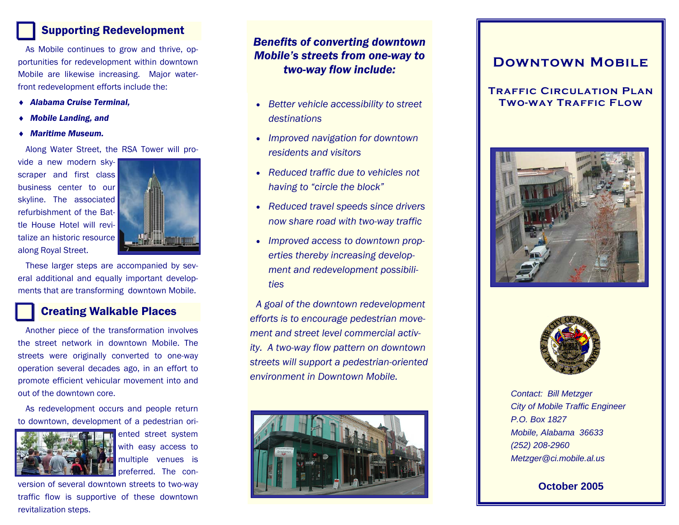## Supporting Redevelopment

As Mobile continues to grow and thrive, opportunities for redevelopment within downtown Mobile are likewise increasing. Major waterfront redevelopment efforts include the:

- ♦ *Alabama Cruise Terminal,*
- ♦ *Mobile Landing, and*
- ♦ *Maritime Museum.*

Along Water Street, the RSA Tower will pro-

vide a new modern skyscraper and first class business center to our skyline. The associated refurbishment of the Battle House Hotel will revitalize an historic resource along Royal Street.



These larger steps are accompanied by several additional and equally important developments that are transforming downtown Mobile.

### Creating Walkable Places

Another piece of the transformation involves the street network in downtown Mobile. The streets were originally converted to one-way operation several decades ago, in an effort to promote efficient vehicular movement into and out of the downtown core.

As redevelopment occurs and people return to downtown, development of a pedestrian ori-



ented street system with easy access to multiple venues is preferred. The con-

version of several downtown streets to two-way traffic flow is supportive of these downtown revitalization steps.

### *Benefits of converting downtown Mobile's streets from one-way to two-way flow include:*

- *Better vehicle accessibility to street destinations*
- *Improved navigation for downtown residents and visitors*
- *Reduced traffic due to vehicles not having to "circle the block"*
- *Reduced travel speeds since drivers now share road with two-way traffic*
- *Improved access to downtown properties thereby increasing development and redevelopment possibilities*

*A goal of the downtown redevelopment efforts is to encourage pedestrian movement and street level commercial activity. A two-way flow pattern on downtown streets will support a pedestrian-oriented environment in Downtown Mobile.* 



# **Downtown Mobile**

### **Traffic Circulation Plan Two-way Traffic Flow**





*Contact: Bill Metzger City of Mobile Traffic Engineer P.O. Box 1827 Mobile, Alabama 36633 (252) 208-2960 Metzger@ci.mobile.al.us* 

**October 2005**